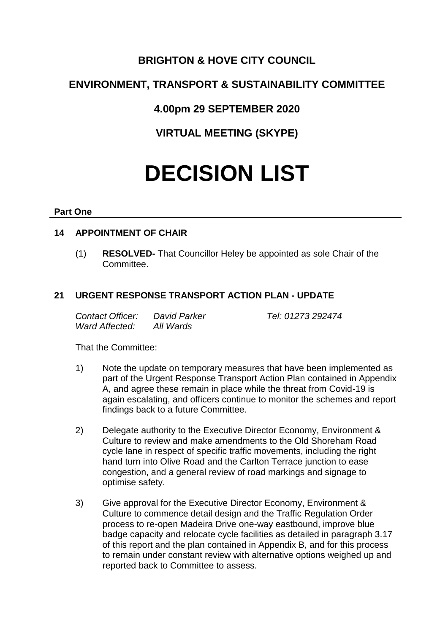# **BRIGHTON & HOVE CITY COUNCIL**

# **ENVIRONMENT, TRANSPORT & SUSTAINABILITY COMMITTEE**

**4.00pm 29 SEPTEMBER 2020**

**VIRTUAL MEETING (SKYPE)**

# **DECISION LIST**

#### **Part One**

# **14 APPOINTMENT OF CHAIR**

(1) **RESOLVED-** That Councillor Heley be appointed as sole Chair of the Committee.

# **21 URGENT RESPONSE TRANSPORT ACTION PLAN - UPDATE**

*Contact Officer: David Parker Tel: 01273 292474 Ward Affected: All Wards*

That the Committee:

- 1) Note the update on temporary measures that have been implemented as part of the Urgent Response Transport Action Plan contained in Appendix A, and agree these remain in place while the threat from Covid-19 is again escalating, and officers continue to monitor the schemes and report findings back to a future Committee.
- 2) Delegate authority to the Executive Director Economy, Environment & Culture to review and make amendments to the Old Shoreham Road cycle lane in respect of specific traffic movements, including the right hand turn into Olive Road and the Carlton Terrace junction to ease congestion, and a general review of road markings and signage to optimise safety.
- 3) Give approval for the Executive Director Economy, Environment & Culture to commence detail design and the Traffic Regulation Order process to re-open Madeira Drive one-way eastbound, improve blue badge capacity and relocate cycle facilities as detailed in paragraph 3.17 of this report and the plan contained in Appendix B, and for this process to remain under constant review with alternative options weighed up and reported back to Committee to assess.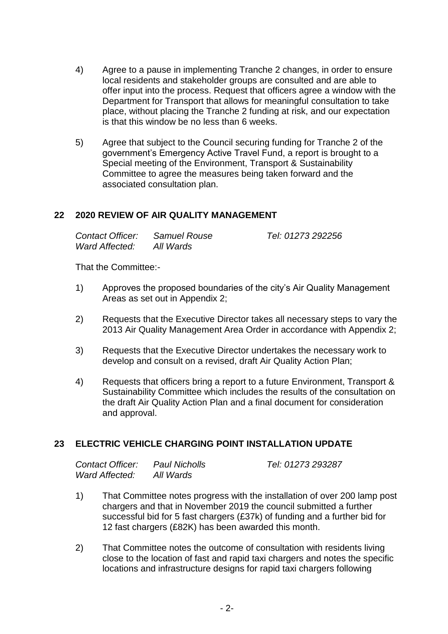- 4) Agree to a pause in implementing Tranche 2 changes, in order to ensure local residents and stakeholder groups are consulted and are able to offer input into the process. Request that officers agree a window with the Department for Transport that allows for meaningful consultation to take place, without placing the Tranche 2 funding at risk, and our expectation is that this window be no less than 6 weeks.
- 5) Agree that subject to the Council securing funding for Tranche 2 of the government's Emergency Active Travel Fund, a report is brought to a Special meeting of the Environment, Transport & Sustainability Committee to agree the measures being taken forward and the associated consultation plan.

# **22 2020 REVIEW OF AIR QUALITY MANAGEMENT**

| Contact Officer: | Samuel Rouse | Tel: 01273 292256 |
|------------------|--------------|-------------------|
| Ward Affected:   | All Wards    |                   |

That the Committee:-

- 1) Approves the proposed boundaries of the city's Air Quality Management Areas as set out in Appendix 2;
- 2) Requests that the Executive Director takes all necessary steps to vary the 2013 Air Quality Management Area Order in accordance with Appendix 2;
- 3) Requests that the Executive Director undertakes the necessary work to develop and consult on a revised, draft Air Quality Action Plan;
- 4) Requests that officers bring a report to a future Environment, Transport & Sustainability Committee which includes the results of the consultation on the draft Air Quality Action Plan and a final document for consideration and approval.

# **23 ELECTRIC VEHICLE CHARGING POINT INSTALLATION UPDATE**

| Contact Officer: | <b>Paul Nicholls</b> | Tel: 01273 293287 |
|------------------|----------------------|-------------------|
| Ward Affected:   | All Wards            |                   |

- 1) That Committee notes progress with the installation of over 200 lamp post chargers and that in November 2019 the council submitted a further successful bid for 5 fast chargers (£37k) of funding and a further bid for 12 fast chargers (£82K) has been awarded this month.
- 2) That Committee notes the outcome of consultation with residents living close to the location of fast and rapid taxi chargers and notes the specific locations and infrastructure designs for rapid taxi chargers following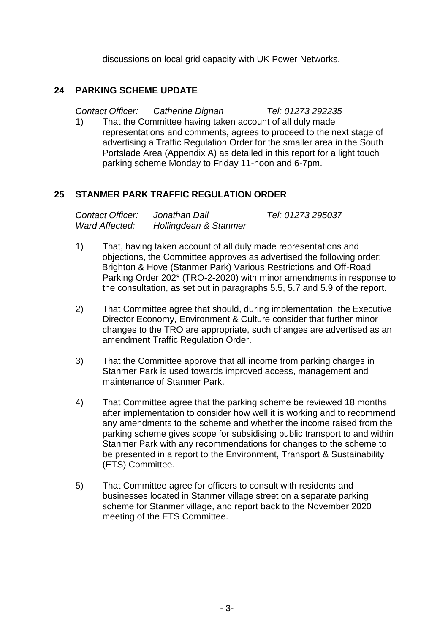discussions on local grid capacity with UK Power Networks.

# **24 PARKING SCHEME UPDATE**

*Contact Officer: Catherine Dignan Tel: 01273 292235*

1) That the Committee having taken account of all duly made representations and comments, agrees to proceed to the next stage of advertising a Traffic Regulation Order for the smaller area in the South Portslade Area (Appendix A) as detailed in this report for a light touch parking scheme Monday to Friday 11-noon and 6-7pm.

# **25 STANMER PARK TRAFFIC REGULATION ORDER**

| <b>Contact Officer:</b> | Jonathan Dall         | Tel: 01273 295037 |
|-------------------------|-----------------------|-------------------|
| Ward Affected:          | Hollingdean & Stanmer |                   |

- 1) That, having taken account of all duly made representations and objections, the Committee approves as advertised the following order: Brighton & Hove (Stanmer Park) Various Restrictions and Off-Road Parking Order 202\* (TRO-2-2020) with minor amendments in response to the consultation, as set out in paragraphs 5.5, 5.7 and 5.9 of the report.
- 2) That Committee agree that should, during implementation, the Executive Director Economy, Environment & Culture consider that further minor changes to the TRO are appropriate, such changes are advertised as an amendment Traffic Regulation Order.
- 3) That the Committee approve that all income from parking charges in Stanmer Park is used towards improved access, management and maintenance of Stanmer Park.
- 4) That Committee agree that the parking scheme be reviewed 18 months after implementation to consider how well it is working and to recommend any amendments to the scheme and whether the income raised from the parking scheme gives scope for subsidising public transport to and within Stanmer Park with any recommendations for changes to the scheme to be presented in a report to the Environment, Transport & Sustainability (ETS) Committee.
- 5) That Committee agree for officers to consult with residents and businesses located in Stanmer village street on a separate parking scheme for Stanmer village, and report back to the November 2020 meeting of the ETS Committee.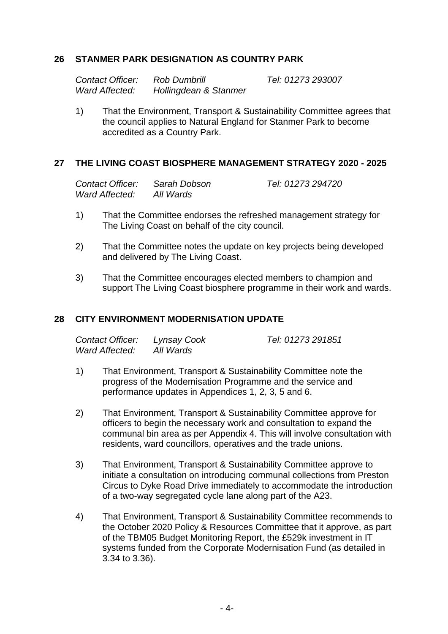#### **26 STANMER PARK DESIGNATION AS COUNTRY PARK**

*Contact Officer: Rob Dumbrill Tel: 01273 293007 Ward Affected: Hollingdean & Stanmer*

1) That the Environment, Transport & Sustainability Committee agrees that the council applies to Natural England for Stanmer Park to become accredited as a Country Park.

# **27 THE LIVING COAST BIOSPHERE MANAGEMENT STRATEGY 2020 - 2025**

*Contact Officer: Sarah Dobson Tel: 01273 294720 Ward Affected: All Wards*

- 1) That the Committee endorses the refreshed management strategy for The Living Coast on behalf of the city council.
- 2) That the Committee notes the update on key projects being developed and delivered by The Living Coast.
- 3) That the Committee encourages elected members to champion and support The Living Coast biosphere programme in their work and wards.

### **28 CITY ENVIRONMENT MODERNISATION UPDATE**

| Contact Officer: | Lynsay Cook | Tel: 01273 291851 |
|------------------|-------------|-------------------|
| Ward Affected:   | All Wards   |                   |

- 1) That Environment, Transport & Sustainability Committee note the progress of the Modernisation Programme and the service and performance updates in Appendices 1, 2, 3, 5 and 6.
- 2) That Environment, Transport & Sustainability Committee approve for officers to begin the necessary work and consultation to expand the communal bin area as per Appendix 4. This will involve consultation with residents, ward councillors, operatives and the trade unions.
- 3) That Environment, Transport & Sustainability Committee approve to initiate a consultation on introducing communal collections from Preston Circus to Dyke Road Drive immediately to accommodate the introduction of a two-way segregated cycle lane along part of the A23.
- 4) That Environment, Transport & Sustainability Committee recommends to the October 2020 Policy & Resources Committee that it approve, as part of the TBM05 Budget Monitoring Report, the £529k investment in IT systems funded from the Corporate Modernisation Fund (as detailed in 3.34 to 3.36).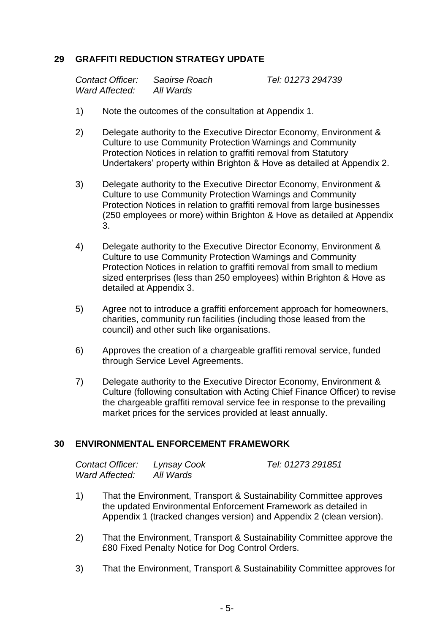# **29 GRAFFITI REDUCTION STRATEGY UPDATE**

| Contact Officer: | Saoirse Roach |
|------------------|---------------|
| Ward Affected:   | All Wards     |

*Contact Officer: Saoirse Roach Tel: 01273 294739*

- 1) Note the outcomes of the consultation at Appendix 1.
- 2) Delegate authority to the Executive Director Economy, Environment & Culture to use Community Protection Warnings and Community Protection Notices in relation to graffiti removal from Statutory Undertakers' property within Brighton & Hove as detailed at Appendix 2.
- 3) Delegate authority to the Executive Director Economy, Environment & Culture to use Community Protection Warnings and Community Protection Notices in relation to graffiti removal from large businesses (250 employees or more) within Brighton & Hove as detailed at Appendix 3.
- 4) Delegate authority to the Executive Director Economy, Environment & Culture to use Community Protection Warnings and Community Protection Notices in relation to graffiti removal from small to medium sized enterprises (less than 250 employees) within Brighton & Hove as detailed at Appendix 3.
- 5) Agree not to introduce a graffiti enforcement approach for homeowners, charities, community run facilities (including those leased from the council) and other such like organisations.
- 6) Approves the creation of a chargeable graffiti removal service, funded through Service Level Agreements.
- 7) Delegate authority to the Executive Director Economy, Environment & Culture (following consultation with Acting Chief Finance Officer) to revise the chargeable graffiti removal service fee in response to the prevailing market prices for the services provided at least annually.

#### **30 ENVIRONMENTAL ENFORCEMENT FRAMEWORK**

| Contact Officer: | Lynsay Cook | Tel: 01273 291851 |
|------------------|-------------|-------------------|
| Ward Affected:   | All Wards   |                   |

- 1) That the Environment, Transport & Sustainability Committee approves the updated Environmental Enforcement Framework as detailed in Appendix 1 (tracked changes version) and Appendix 2 (clean version).
- 2) That the Environment, Transport & Sustainability Committee approve the £80 Fixed Penalty Notice for Dog Control Orders.
- 3) That the Environment, Transport & Sustainability Committee approves for